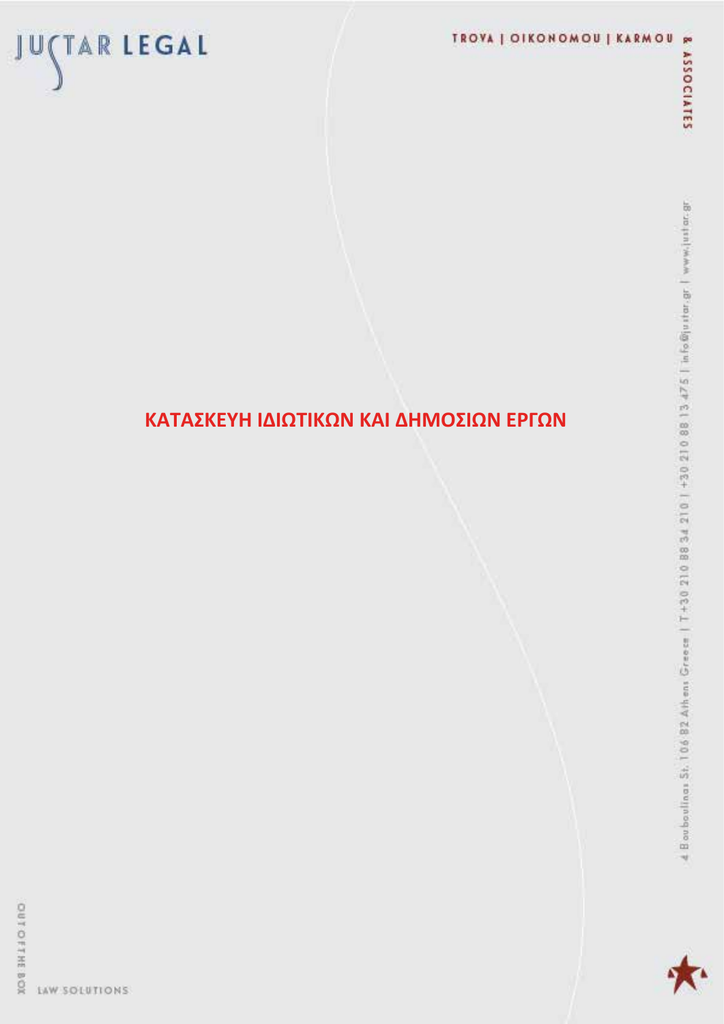# TROVA | OIKONOMOU | KARMOU



OUT OFFREE BOX LAW SOLUTIONS

JUÇTAR LEGAL

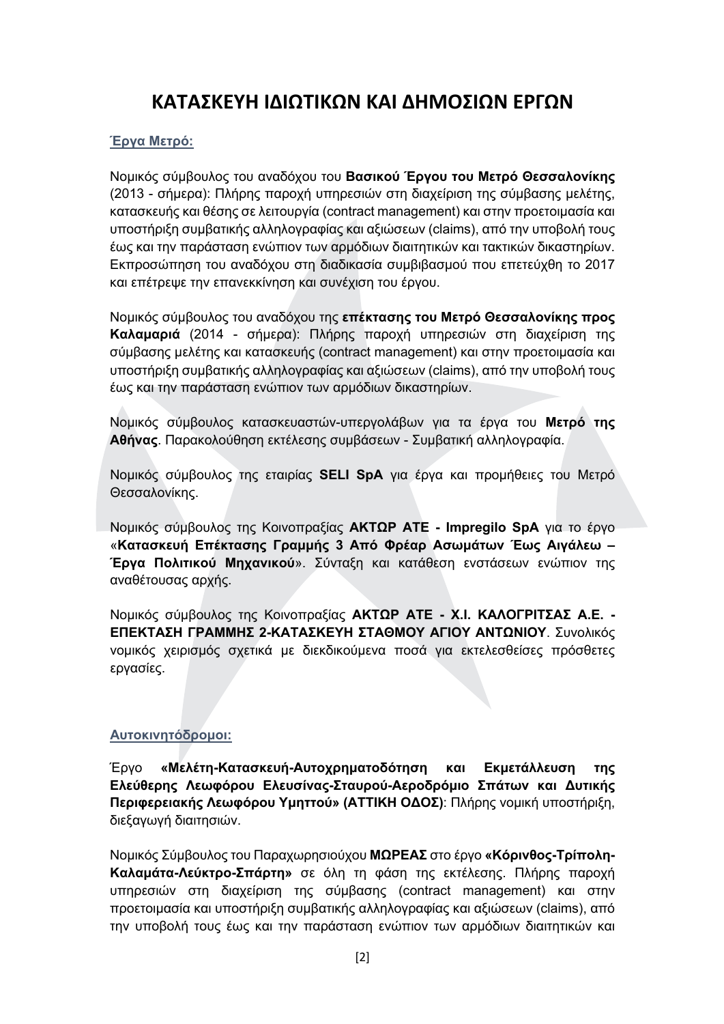# ΚΑΤΑΣΚΕΥΗ ΙΔΙΩΤΙΚΩΝ ΚΑΙ ΔΗΜΟΣΙΩΝ ΕΡΓΩΝ

## Έρνα Μετρό:

Νομικός σύμβουλος του αναδόχου του Βασικού Έργου του Μετρό Θεσσαλονίκης (2013 - σήμερα): Πλήρης παροχή υπηρεσιών στη διαχείριση της σύμβασης μελέτης, κατασκευής και θέσης σε λειτουργία (contract management) και στην προετοιμασία και υποστήριξη συμβατικής αλληλογραφίας και αξιώσεων (claims), από την υποβολή τους έως και την παράσταση ενώπιον των αρμόδιων διαιτητικών και τακτικών δικαστηρίων. Εκπροσώπηση του αναδόχου στη διαδικασία συμβιβασμού που επετεύχθη το 2017 και επέτρεψε την επανεκκίνηση και συνέχιση του έργου.

Νομικός σύμβουλος του αναδόχου της επέκτασης του Μετρό Θεσσαλονίκης προς Καλαμαριά (2014 - σήμερα): Πλήρης παροχή υπηρεσιών στη διαχείριση της σύμβασης μελέτης και κατασκευής (contract management) και στην προετοιμασία και υποστήριξη συμβατικής αλληλογραφίας και αξιώσεων (claims), από την υποβολή τους έως και την παράσταση ενώπιον των αρμόδιων δικαστηρίων.

Νομικός σύμβουλος κατασκευαστών-υπεργολάβων για τα έργα του Μετρό της Αθήνας. Παρακολούθηση εκτέλεσης συμβάσεων - Συμβατική αλληλογραφία.

Νομικός σύμβουλος της εταιρίας SELI SpA για έργα και προμήθειες του Μετρό Θεσσαλονίκης.

Νομικός σύμβουλος της Κοινοπραξίας ΑΚΤΩΡ ΑΤΕ - Impregilo SpA για το έργο «Κατασκευή Επέκτασης Γραμμής 3 Από Φρέαρ Ασωμάτων Έως Αιγάλεω -Έργα Πολιτικού Μηχανικού». Σύνταξη και κατάθεση ενστάσεων ενώπιον της αναθέτουσας αρχής.

Νομικός σύμβουλος της Κοινοπραξίας ΑΚΤΩΡ ΑΤΕ - Χ.Ι. ΚΑΛΟΓΡΙΤΣΑΣ Α.Ε. -ΕΠΕΚΤΑΣΗ ΓΡΑΜΜΗΣ 2-ΚΑΤΑΣΚΕΥΗ ΣΤΑΘΜΟΥ ΑΓΙΟΥ ΑΝΤΩΝΙΟΥ. Συνολικός νομικός χειρισμός σχετικά με διεκδικούμενα ποσά για εκτελεσθείσες πρόσθετες εργασίες.

# Αυτοκινητόδρομοι:

«Μελέτη-Κατασκευή-Αυτοχρηματοδότηση Eovo και Εκμετάλλευση **TNC** Ελεύθερης Λεωφόρου Ελευσίνας-Σταυρού-Αεροδρόμιο Σπάτων και Δυτικής Περιφερειακής Λεωφόρου Υμηττού» (ΑΤΤΙΚΗ ΟΔΟΣ): Πλήρης νομική υποστήριξη, διεξαγωγή διαιτησιών.

Νομικός Σύμβουλος του Παραχωρησιούχου ΜΩΡΕΑΣ στο έργο «Κόρινθος-Τρίπολη-Καλαμάτα-Λεύκτρο-Σπάρτη» σε όλη τη φάση της εκτέλεσης. Πλήρης παροχή υπηρεσιών στη διαχείριση της σύμβασης (contract management) και στην προετοιμασία και υποστήριξη συμβατικής αλληλογραφίας και αξιώσεων (claims), από την υποβολή τους έως και την παράσταση ενώπιον των αρμόδιων διαιτητικών και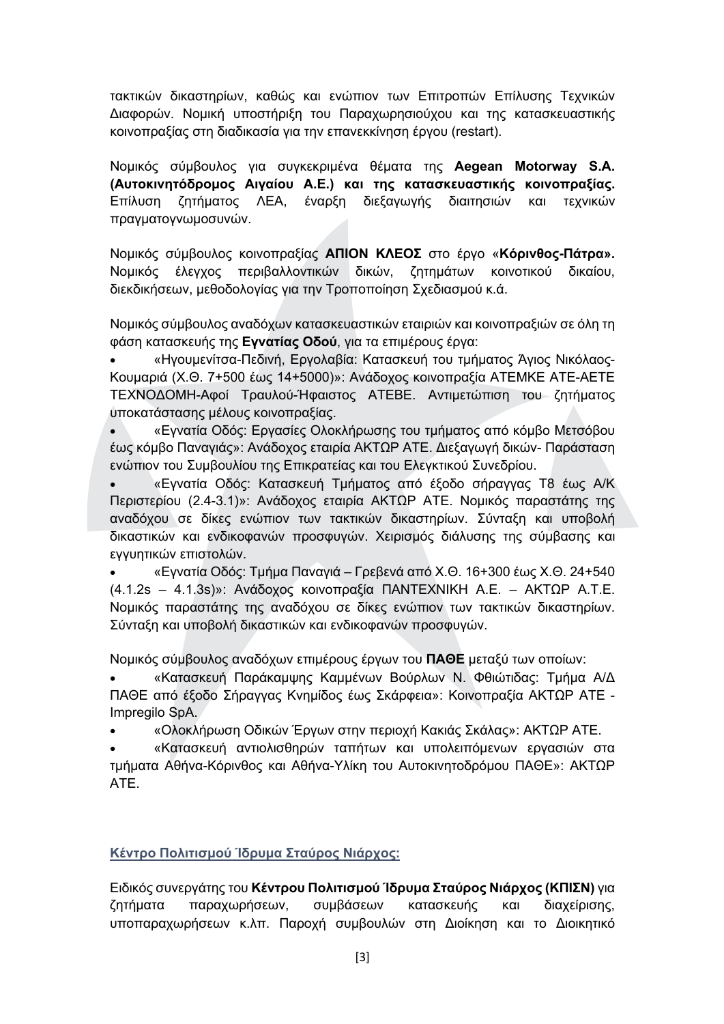τακτικών δικαστηρίων, καθώς και ενώπιον των Επιτροπών Επίλυσης Τεχνικών Διαφορών. Νομική υποστήριξη του Παραχωρησιούχου και της κατασκευαστικής κοινοπραξίας στη διαδικασία για την επανεκκίνηση έργου (restart).

Νομικός σύμβουλος για συγκεκριμένα θέματα της Aegean Motorway S.A. (Αυτοκινητόδρομος Αιγαίου Α.Ε.) και της κατασκευαστικής κοινοπραξίας. Επίλυση ζητήματος ΛΕΑ, έναρξη διεξαγωγής διαιτησιών και τεχνικών πραγματογνωμοσυνών.

Νομικός σύμβουλος κοινοπραξίας ΑΠΙΟΝ ΚΛΕΟΣ στο έργο «Κόρινθος-Πάτρα». Νομικός έλεγχος περιβαλλοντικών δικών, ζητημάτων κοινοτικού δικαίου, διεκδικήσεων, μεθοδολογίας για την Τροποποίηση Σχεδιασμού κ.ά.

Νομικός σύμβουλος αναδόχων κατασκευαστικών εταιριών και κοινοπραξιών σε όλη τη φάση κατασκευής της Εγνατίας Οδού, για τα επιμέρους έργα:

«Ηγουμενίτσα-Πεδινή, Εργολαβία: Κατασκευή του τμήματος Άγιος Νικόλαος-Κουμαριά (Χ.Θ. 7+500 έως 14+5000)»: Ανάδοχος κοινοπραξία ΑΤΕΜΚΕ ΑΤΕ-ΑΕΤΕ ΤΕΧΝΟΔΟΜΗ-Αφοί Τραυλού-Ήφαιστος ΑΤΕΒΕ. Αντιμετώπιση του ζητήματος υποκατάστασης μέλους κοινοπραξίας.

«Εγνατία Οδός: Εργασίες Ολοκλήρωσης του τμήματος από κόμβο Μετσόβου  $\bullet$ έως κόμβο Παναγιάς»: Ανάδοχος εταιρία ΑΚΤΩΡ ΑΤΕ. Διεξαγωγή δικών- Παράσταση ενώπιον του Συμβουλίου της Επικρατείας και του Ελεγκτικού Συνεδρίου.

«Εγνατία Οδός: Κατασκευή Τμήματος από έξοδο σήραγγας Τ8 έως Α/Κ Περιστερίου (2.4-3.1)»: Ανάδοχος εταιρία ΑΚΤΩΡ ΑΤΕ. Νομικός παραστάτης της αναδόχου σε δίκες ενώπιον των τακτικών δικαστηρίων. Σύνταξη και υποβολή δικαστικών και ενδικοφανών προσφυγών. Χειρισμός διάλυσης της σύμβασης και εγγυητικών επιστολών.

«Εγνατία Οδός: Τμήμα Παναγιά - Γρεβενά από Χ.Θ. 16+300 έως Χ.Θ. 24+540 (4.1.2s - 4.1.3s)»: Ανάδοχος κοινοπραξία ΠΑΝΤΕΧΝΙΚΗ Α.Ε. - ΑΚΤΩΡ Α.Τ.Ε. Νομικός παραστάτης της αναδόχου σε δίκες ενώπιον των τακτικών δικαστηρίων. Σύνταξη και υποβολή δικαστικών και ενδικοφανών προσφυγών.

Νομικός σύμβουλος αναδόχων επιμέρους έργων του ΠΑΘΕ μεταξύ των οποίων:

«Κατασκευή Παράκαμψης Καμμένων Βούρλων Ν. Φθιώτιδας: Τμήμα Α/Δ ΠΑΘΕ από έξοδο Σήραγγας Κνημίδος έως Σκάρφεια»: Κοινοπραξία ΑΚΤΩΡ ΑΤΕ -Impregilo SpA.

«Ολοκλήρωση Οδικών Έργων στην περιοχή Κακιάς Σκάλας»: ΑΚΤΩΡ ΑΤΕ.  $\bullet$ 

«Κατασκευή αντιολισθηρών ταπήτων και υπολειπόμενων εργασιών στα τμήματα Αθήνα-Κόρινθος και Αθήνα-Υλίκη του Αυτοκινητοδρόμου ΠΑΘΕ»: ΑΚΤΩΡ ATE.

# Κέντρο Πολιτισμού Ίδρυμα Σταύρος Νιάρχος:

Ειδικός συνεργάτης του Κέντρου Πολιτισμού Ίδρυμα Σταύρος Νιάρχος (ΚΠΙΣΝ) για ζητήματα παραχωρήσεων, συμβάσεων κατασκευής και διαχείρισης, υποπαραχωρήσεων κ.λπ. Παροχή συμβουλών στη Διοίκηση και το Διοικητικό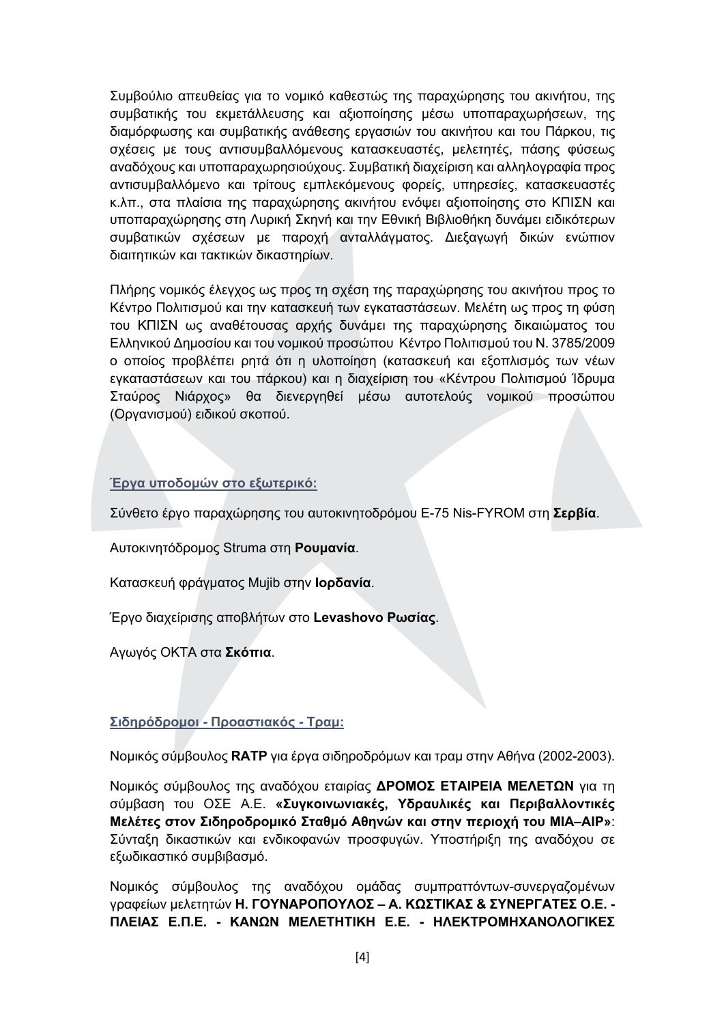Συμβούλιο απευθείας για το νομικό καθεστώς της παραχώρησης του ακινήτου, της συμβατικής του εκμετάλλευσης και αξιοποίησης μέσω υποπαραχωρήσεων, της διαμόρφωσης και συμβατικής ανάθεσης εργασιών του ακινήτου και του Πάρκου, τις σχέσεις με τους αντισυμβαλλόμενους κατασκευαστές, μελετητές, πάσης φύσεως αναδόχους και υποπαραχωρησιούχους. Συμβατική διαχείριση και αλληλογραφία προς αντισυμβαλλόμενο και τρίτους εμπλεκόμενους φορείς, υπηρεσίες, κατασκευαστές κ.λπ., στα πλαίσια της παραχώρησης ακινήτου ενόψει αξιοποίησης στο ΚΠΙΣΝ και υποπαραχώρησης στη Λυρική Σκηνή και την Εθνική Βιβλιοθήκη δυνάμει ειδικότερων συμβατικών σχέσεων με παροχή ανταλλάγματος. Διεξαγωγή δικών ενώπιον διαιτητικών και τακτικών δικαστηρίων.

Πλήρης νομικός έλεγχος ως προς τη σχέση της παραχώρησης του ακινήτου προς το Κέντρο Πολιτισμού και την κατασκευή των εγκαταστάσεων. Μελέτη ως προς τη φύση του ΚΠΙΣΝ ως αναθέτουσας αρχής δυνάμει της παραχώρησης δικαιώματος του Ελληνικού Δημοσίου και του νομικού προσώπου Κέντρο Πολιτισμού του Ν. 3785/2009 ο οποίος προβλέπει ρητά ότι η υλοποίηση (κατασκευή και εξοπλισμός των νέων εγκαταστάσεων και του πάρκου) και η διαχείριση του «Κέντρου Πολιτισμού Ίδρυμα Σταύρος Νιάρχος» θα διενεργηθεί μέσω αυτοτελούς νομικού προσώπου (Οργανισμού) ειδικού σκοπού.

## Έργα υποδομών στο εξωτερικό:

Σύνθετο έργο παραχώρησης του αυτοκινητοδρόμου E-75 Nis-FYROM στη Σερβία.

Αυτοκινητόδρομος Struma στη Ρουμανία.

Κατασκευή φράγματος Mujib στην **Ιορδανία**.

Έργο διαχείρισης αποβλήτων στο Levashovo Ρωσίας.

Αγωγός ΟΚΤΑ στα Σκόπια.

#### Σιδηρόδρομοι - Προαστιακός - Τραμ:

Νομικός σύμβουλος RATP για έργα σιδηροδρόμων και τραμ στην Αθήνα (2002-2003).

Νομικός σύμβουλος της αναδόχου εταιρίας ΔΡΟΜΟΣ ΕΤΑΙΡΕΙΑ ΜΕΛΕΤΩΝ για τη σύμβαση του ΟΣΕ Α.Ε. «Συγκοινωνιακές, Υδραυλικές και Περιβαλλοντικές Μελέτες στον Σιδηροδρομικό Σταθμό Αθηνών και στην περιοχή του ΜΙΑ-ΑΙΡ»: Σύνταξη δικαστικών και ενδικοφανών προσφυγών. Υποστήριξη της αναδόχου σε εξωδικαστικό συμβιβασμό.

Νομικός σύμβουλος της αναδόχου ομάδας συμπραττόντων-συνεργαζομένων γραφείων μελετητών Η. ΓΟΥΝΑΡΟΠΟΥΛΟΣ - Α. ΚΩΣΤΙΚΑΣ & ΣΥΝΕΡΓΑΤΕΣ Ο.Ε. -ΠΛΕΙΑΣ Ε.Π.Ε. - ΚΑΝΩΝ ΜΕΛΕΤΗΤΙΚΗ Ε.Ε. - ΗΛΕΚΤΡΟΜΗΧΑΝΟΛΟΓΙΚΕΣ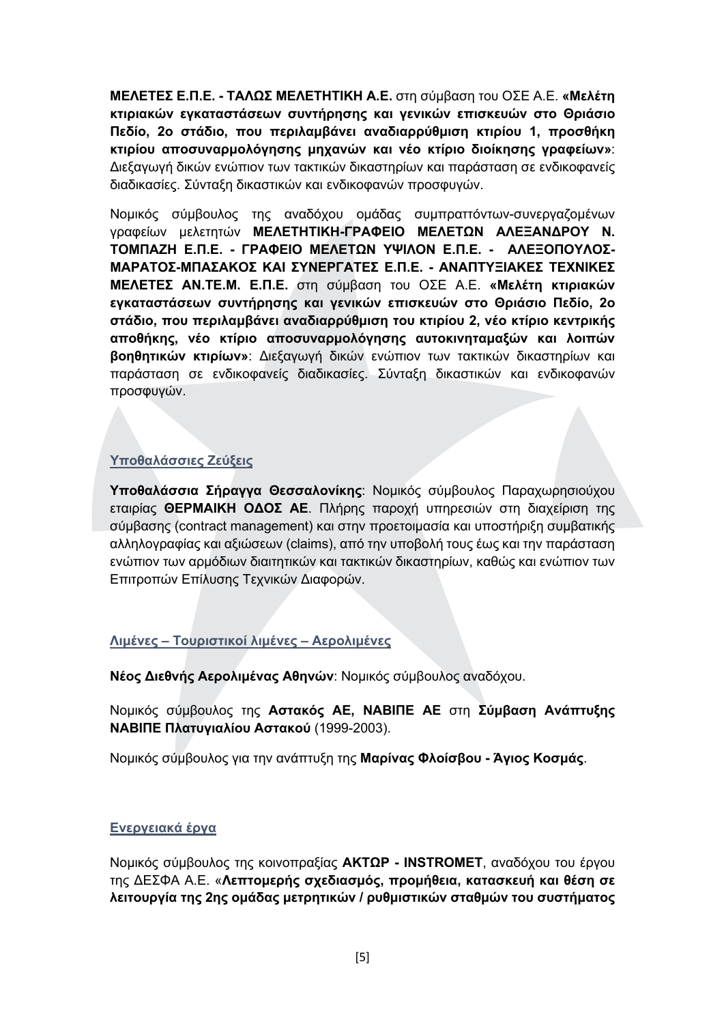**ΜΕΛΕΤΕΣ Ε.Π.Ε. - ΤΑΛΩΣ ΜΕΛΕΤΗΤΙΚΗ Α.Ε.** στη σύμβαση του ΟΣΕ Α.Ε. «Μελέτη κτιριακών εγκαταστάσεων συντήρησης και γενικών επισκευών στο Θριάσιο Πεδίο, 2ο στάδιο, που περιλαμβάνει αναδιαρρύθμιση κτιρίου 1, προσθήκη κτιρίου αποσυναρμολόγησης μηχανών και νέο κτίριο διοίκησης γραφείων»: Διεξαγωγή δικών ενώπιον των τακτικών δικαστηρίων και παράσταση σε ενδικοφανείς διαδικασίες. Σύνταξη δικαστικών και ενδικοφανών προσφυνών.

Νομικός σύμβουλος της αναδόχου ομάδας συμπραττόντων-συνεργαζομένων γραφείων μελετητών ΜΕΛΕΤΗΤΙΚΗ-ΓΡΑΦΕΙΟ ΜΕΛΕΤΩΝ ΑΛΕΞΑΝΔΡΟΥ Ν. ΤΟΜΠΑΖΗ Ε.Π.Ε. - ΓΡΑΦΕΙΟ ΜΕΛΕΤΩΝ ΥΨΙΛΟΝ Ε.Π.Ε. - ΑΛΕΞΟΠΟΥΛΟΣ-ΜΑΡΑΤΟΣ-ΜΠΑΣΑΚΟΣ ΚΑΙ ΣΥΝΕΡΓΑΤΕΣ Ε.Π.Ε. - ΑΝΑΠΤΥΞΙΑΚΕΣ ΤΕΧΝΙΚΕΣ ΜΕΛΕΤΕΣ ΑΝ.ΤΕ.Μ. Ε.Π.Ε. στη σύμβαση του ΟΣΕ Α.Ε. «Μελέτη κτιριακών εγκαταστάσεων συντήρησης και γενικών επισκευών στο Θριάσιο Πεδίο, 2ο στάδιο, που περιλαμβάνει αναδιαρρύθμιση του κτιρίου 2, νέο κτίριο κεντρικής αποθήκης, νέο κτίριο αποσυναρμολόγησης αυτοκινηταμαξών και λοιπών βοηθητικών κτιρίων»: Διεξαγωγή δικών ενώπιον των τακτικών δικαστηρίων και παράσταση σε ενδικοφανείς διαδικασίες. Σύνταξη δικαστικών και ενδικοφανών προσφυγών.

# Υποθαλάσσιες Ζεύξεις

Υποθαλάσσια Σήραγγα Θεσσαλονίκης: Νομικός σύμβουλος Παραχωρησιούχου εταιρίας ΘΕΡΜΑΙΚΗ ΟΔΟΣ ΑΕ. Πλήρης παροχή υπηρεσιών στη διαχείριση της σύμβασης (contract management) και στην προετοιμασία και υποστήριξη συμβατικής αλληλογραφίας και αξιώσεων (claims), από την υποβολή τους έως και την παράσταση ενώπιον των αρμόδιων διαιτητικών και τακτικών δικαστηρίων, καθώς και ενώπιον των Επιτροπών Επίλυσης Τεχνικών Διαφορών.

# Λιμένες - Τουριστικοί λιμένες - Αερολιμένες

Νέος Διεθνής Αερολιμένας Αθηνών: Νομικός σύμβουλος αναδόχου.

Νομικός σύμβουλος της Αστακός ΑΕ, ΝΑΒΙΠΕ ΑΕ στη Σύμβαση Ανάπτυξης ΝΑΒΙΠΕ Πλατυγιαλίου Αστακού (1999-2003).

Νομικός σύμβουλος για την ανάπτυξη της Μαρίνας Φλοίσβου - Άγιος Κοσμάς.

#### Ενεργειακά έργα

Νομικός σύμβουλος της κοινοπραξίας ΑΚΤΩΡ - INSTROMET, αναδόχου του έργου της ΔΕΣΦΑ Α.Ε. «Λεπτομερής σχεδιασμός, προμήθεια, κατασκευή και θέση σε λειτουργία της 2ης ομάδας μετρητικών / ρυθμιστικών σταθμών του συστήματος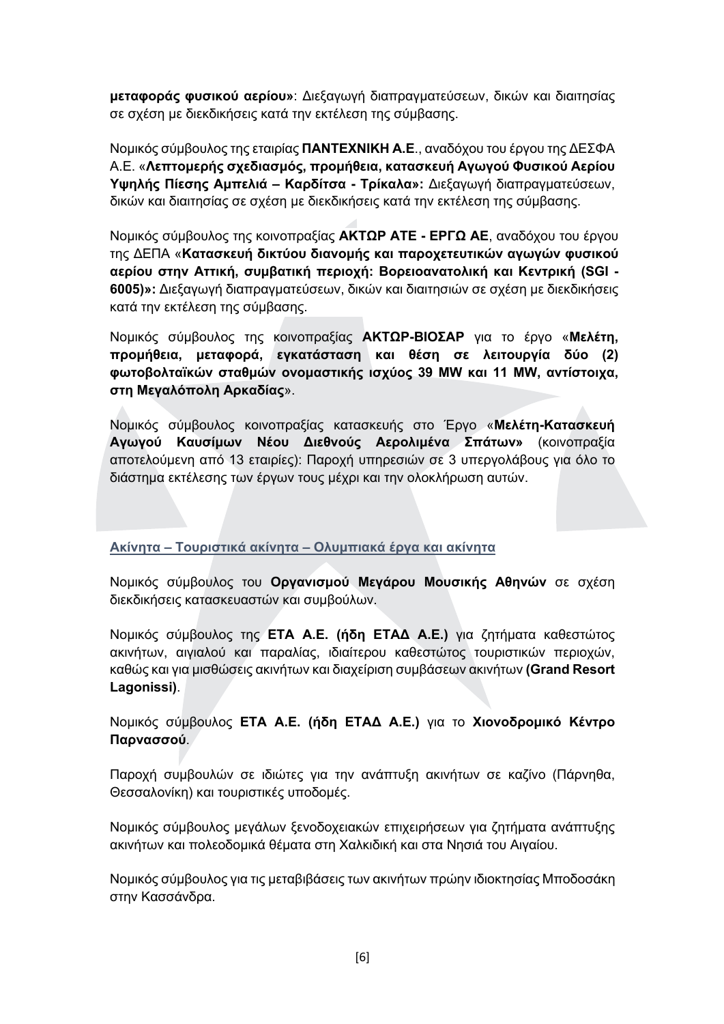μεταφοράς φυσικού αερίου»: Διεξαγωγή διαπραγματεύσεων, δικών και διαιτησίας σε σχέση με διεκδικήσεις κατά την εκτέλεση της σύμβασης.

Νομικός σύμβουλος της εταιρίας ΠΑΝΤΕΧΝΙΚΗ Α.Ε., αναδόχου του έργου της ΔΕΣΦΑ A.E. «Λεπτομερής σχεδιασμός, προμήθεια, κατασκευή Αγωγού Φυσικού Αερίου Υψηλής Πίεσης Αμπελιά - Καρδίτσα - Τρίκαλα»: Διεξαγωγή διαπραγματεύσεων, δικών και διαιτησίας σε σχέση με διεκδικήσεις κατά την εκτέλεση της σύμβασης.

Νομικός σύμβουλος της κοινοπραξίας ΑΚΤΩΡ ΑΤΕ - ΕΡΓΩ ΑΕ, αναδόχου του έργου της ΔΕΠΑ «Κατασκευή δικτύου διανομής και παροχετευτικών αγωγών φυσικού αερίου στην Αττική, συμβατική περιοχή: Βορειοανατολική και Κεντρική (SGI -6005)»; Διεξανωνή διαπρανματεύσεων, δικών και διαιτησιών σε σχέση με διεκδικήσεις κατά την εκτέλεση της σύμβασης.

Νομικός σύμβουλος της κοινοπραξίας ΑΚΤΩΡ-ΒΙΟΣΑΡ για το έργο «Μελέτη, προμήθεια, μεταφορά, εγκατάσταση και θέση σε λειτουργία δύο (2) φωτοβολταϊκών σταθμών ονομαστικής ισχύος 39 MW και 11 MW, αντίστοιχα, στη Μεγαλόπολη Αρκαδίας».

Νομικός σύμβουλος κοινοπραξίας κατασκευής στο Έργο «Μελέτη-Κατασκευή Αγωγού Καυσίμων Νέου Διεθνούς Αερολιμένα Σπάτων» (κοινοπραξία αποτελούμενη από 13 εταιρίες): Παροχή υπηρεσιών σε 3 υπεργολάβους για όλο το διάστημα εκτέλεσης των έργων τους μέχρι και την ολοκλήρωση αυτών.

Ακίνητα – Τουριστικά ακίνητα – Ολυμπιακά έργα και ακίνητα

Νομικός σύμβουλος του Οργανισμού Μεγάρου Μουσικής Αθηνών σε σχέση διεκδικήσεις κατασκευαστών και συμβούλων.

Νομικός σύμβουλος της ΕΤΑ Α.Ε. (ήδη ΕΤΑΔ Α.Ε.) για ζητήματα καθεστώτος ακινήτων, αιγιαλού και παραλίας, ιδιαίτερου καθεστώτος τουριστικών περιοχών, καθώς και για μισθώσεις ακινήτων και διαχείριση συμβάσεων ακινήτων (Grand Resort Lagonissi).

Νομικός σύμβουλος ΕΤΑ Α.Ε. (ήδη ΕΤΑΔ Α.Ε.) για το Χιονοδρομικό Κέντρο Παρνασσού.

Παροχή συμβουλών σε ιδιώτες για την ανάπτυξη ακινήτων σε καζίνο (Πάρνηθα, Θεσσαλονίκη) και τουριστικές υποδομές.

Νομικός σύμβουλος μεγάλων ξενοδοχειακών επιχειρήσεων για ζητήματα ανάπτυξης ακινήτων και πολεοδομικά θέματα στη Χαλκιδική και στα Νησιά του Αιγαίου.

Νομικός σύμβουλος για τις μεταβιβάσεις των ακινήτων πρώην ιδιοκτησίας Μποδοσάκη στην Κασσάνδρα.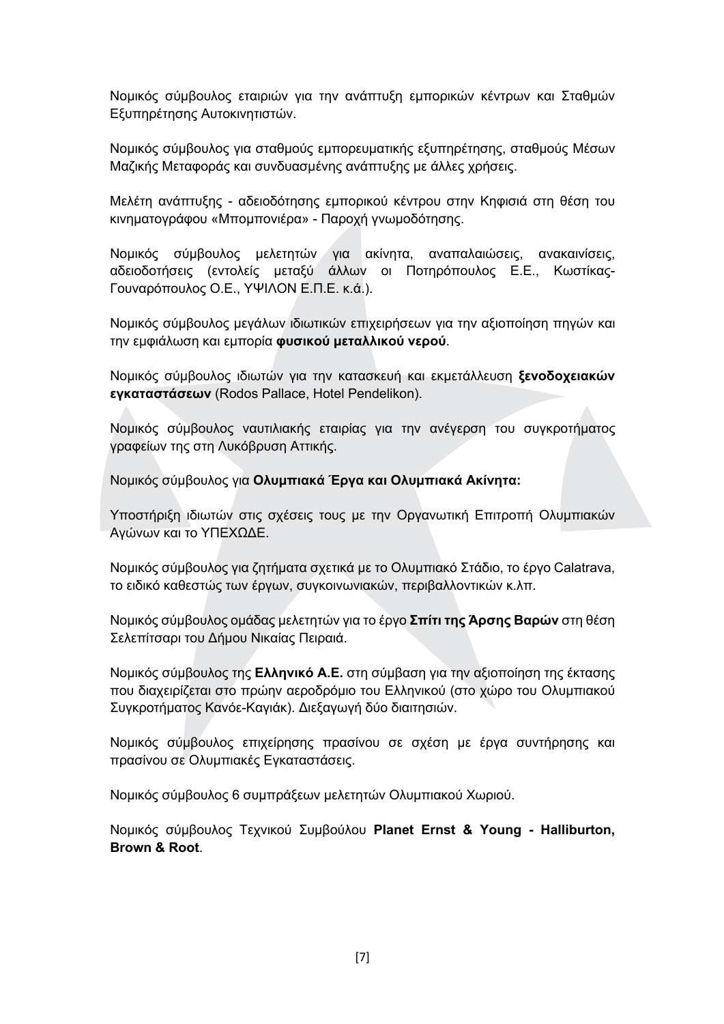Νομικός σύμβουλος εταιριών για την ανάπτυξη εμπορικών κέντρων και Σταθμών Εξυπηρέτησης Αυτοκινητιστών.

Νομικός σύμβουλος για σταθμούς εμπορευματικής εξυπηρέτησης, σταθμούς Μέσων Μαζικής Μεταφοράς και συνδυασμένης ανάπτυξης με άλλες χρήσεις.

Μελέτη ανάπτυξης - αδειοδότησης εμπορικού κέντρου στην Κηφισιά στη θέση του κινηματογράφου «Μπομπονιέρα» - Παροχή γνωμοδότησης.

Νομικός σύμβουλος μελετητών για ακίνητα, αναπαλαιώσεις, ανακαινίσεις, αδειοδοτήσεις (εντολείς μεταξύ άλλων οι Ποτηρόπουλος Ε.Ε., Κωστίκας-Γουναρόπουλος Ο.Ε., ΥΨΙΛΟΝ Ε.Π.Ε. κ.ά.).

Νομικός σύμβουλος μεγάλων ιδιωτικών επιχειρήσεων για την αξιοποίηση πηγών και την εμφιάλωση και εμπορία φυσικού μεταλλικού νερού.

Νομικός σύμβουλος ιδιωτών για την κατασκευή και εκμετάλλευση ξενοδοχειακών εγκαταστάσεων (Rodos Pallace, Hotel Pendelikon).

Νομικός σύμβουλος ναυτιλιακής εταιρίας για την ανέγερση του συγκροτήματος γραφείων της στη Λυκόβρυση Αττικής.

Νομικός σύμβουλος για Ολυμπιακά Έργα και Ολυμπιακά Ακίνητα:

Υποστήριξη ιδιωτών στις σχέσεις τους με την Οργανωτική Επιτροπή Ολυμπιακών Αγώνων και το ΥΠΕΧΩΔΕ.

Νομικός σύμβουλος για ζητήματα σχετικά με το Ολυμπιακό Στάδιο, το έργο Calatrava, το ειδικό καθεστώς των έργων, συγκοινωνιακών, περιβαλλοντικών κ.λπ.

Νομικός σύμβουλος ομάδας μελετητών για το έργο Σπίτι της Άρσης Βαρών στη θέση Σελεπίτσαρι του Δήμου Νικαίας Πειραιά.

Νομικός σύμβουλος της Ελληνικό Α.Ε. στη σύμβαση για την αξιοποίηση της έκτασης που διαχειρίζεται στο πρώην αεροδρόμιο του Ελληνικού (στο χώρο του Ολυμπιακού Συγκροτήματος Κανόε-Καγιάκ). Διεξαγωγή δύο διαιτησιών.

Νομικός σύμβουλος επιχείρησης πρασίνου σε σχέση με έργα συντήρησης και πρασίνου σε Ολυμπιακές Εγκαταστάσεις.

Νομικός σύμβουλος 6 συμπράξεων μελετητών Ολυμπιακού Χωριού.

Νομικός σύμβουλος Τεχνικού Συμβούλου Planet Ernst & Young - Halliburton, Brown & Root.